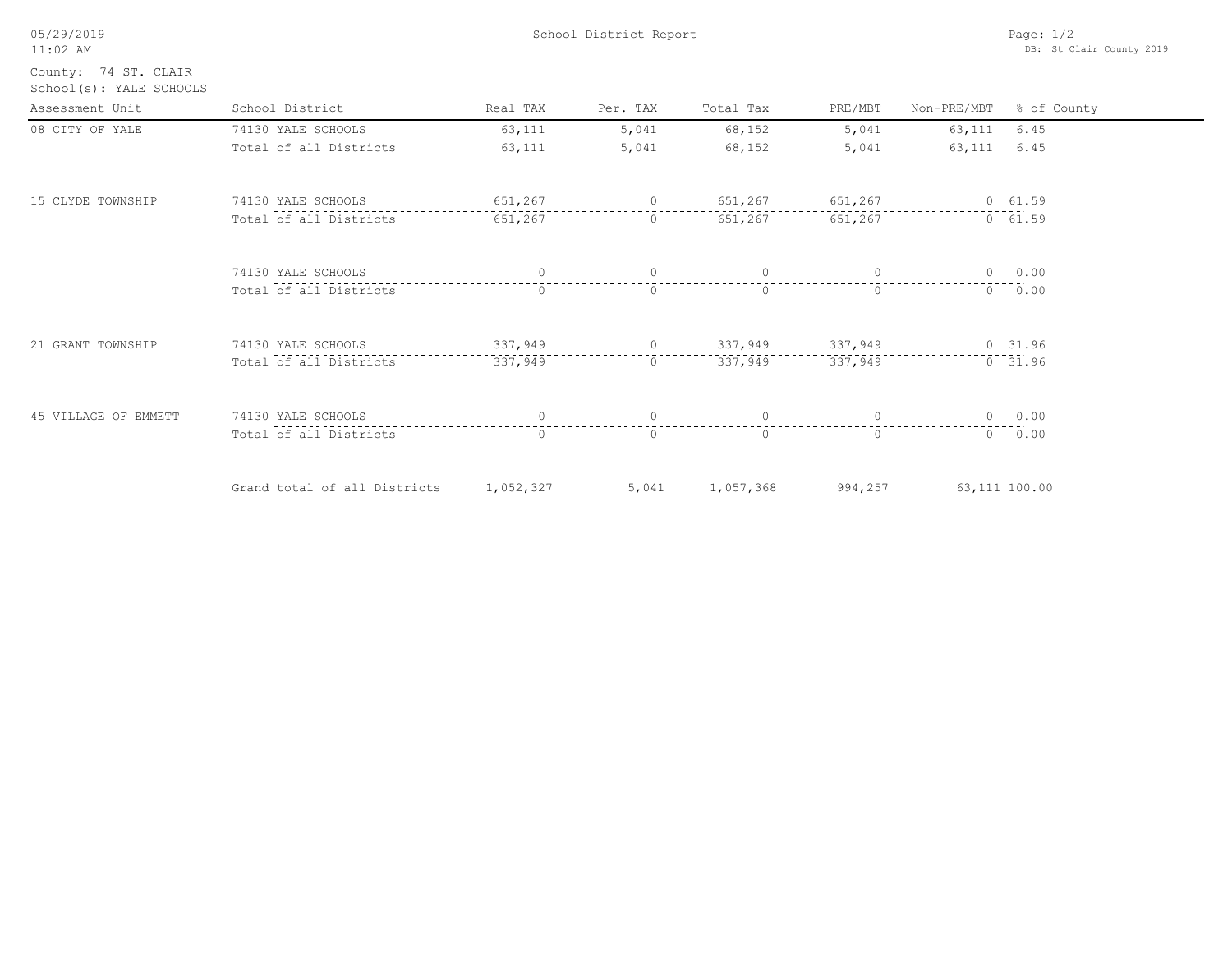| 05/29/2019<br>$11:02$ AM                        |                              | Page: $1/2$<br>DB: St Clair County 2019 |                   |                |          |             |               |
|-------------------------------------------------|------------------------------|-----------------------------------------|-------------------|----------------|----------|-------------|---------------|
| County: 74 ST. CLAIR<br>School(s): YALE SCHOOLS |                              |                                         |                   |                |          |             |               |
| Assessment Unit                                 | School District              | Real TAX                                | Per. TAX          | Total Tax      | PRE/MBT  | Non-PRE/MBT | % of County   |
| 08 CITY OF YALE                                 | 74130 YALE SCHOOLS           | 63,111                                  | 5,041             | 68,152         | 5,041    | 63,111      | 6.45          |
|                                                 | Total of all Districts       | 63,111                                  | 5,041             | 68,152         | 5,041    | 63,111      | 6.45          |
| 15 CLYDE TOWNSHIP                               | 74130 YALE SCHOOLS           | 651,267                                 | $\circ$           | 651,267        | 651,267  |             | 0 61.59       |
|                                                 | Total of all Districts       | 651,267                                 | $\circ$           | 651,267        | 651,267  |             | 0 61.59       |
|                                                 | 74130 YALE SCHOOLS           | $\circ$                                 | $\circ$           | $\circ$        | $\circ$  |             | 0 0.00        |
|                                                 | Total of all Districts       | $\Omega$                                | $\bigcirc$        | $\Omega$       | $\Omega$ | $\Omega$    | 0.00          |
| 21 GRANT TOWNSHIP                               | 74130 YALE SCHOOLS           | 337,949                                 | $0 \qquad \qquad$ | 337,949        | 337,949  |             | 0, 31.96      |
|                                                 | Total of all Districts       | 337,949                                 | $\circ$           | 337,949        | 337,949  |             | 0 31.96       |
| 45 VILLAGE OF EMMETT                            | 74130 YALE SCHOOLS           | $\circ$                                 | $\circ$           | $\overline{0}$ | $\circ$  | $\circ$     | 0.00          |
|                                                 | Total of all Districts       | $\Omega$                                | $\Omega$          | $\Omega$       | $\Omega$ |             | 0 0.00        |
|                                                 | Grand total of all Districts | 1,052,327                               | 5,041             | 1,057,368      | 994,257  |             | 63,111 100.00 |